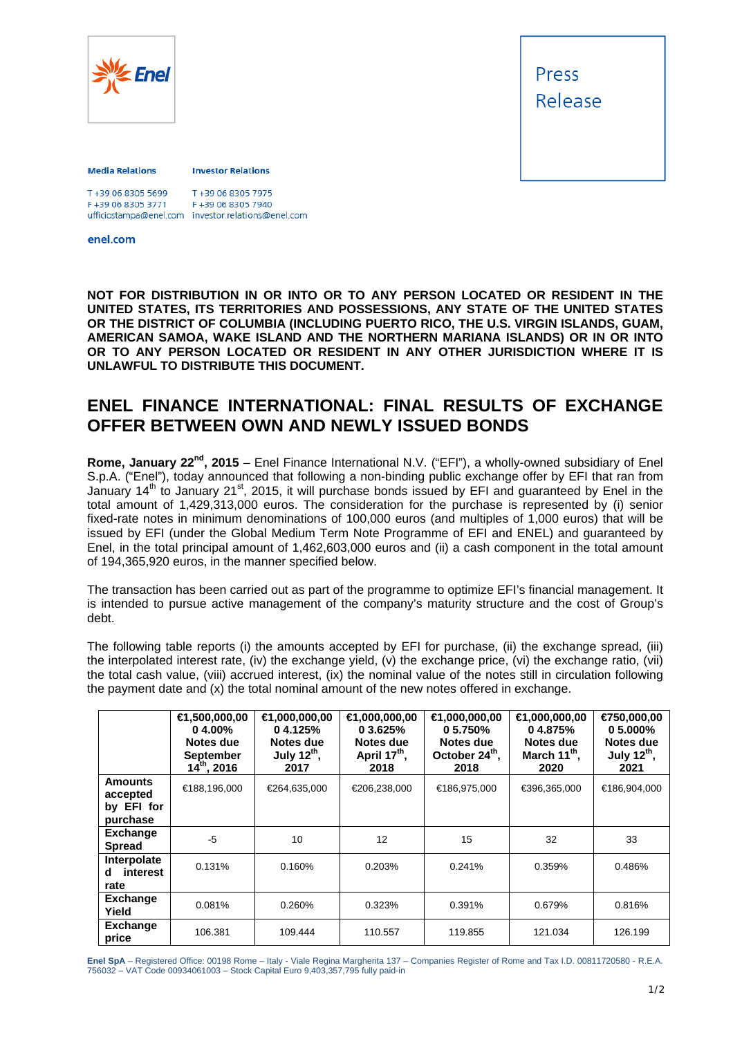

Press Release

## **Media Relations**

## **Investor Relations**

| T+39 06 8305 5699 | T+39 06 8305 7975                                  |
|-------------------|----------------------------------------------------|
| F+39 06 8305 3771 | F+39 06 8305 7940                                  |
|                   | ufficiostampa@enel.com investor.relations@enel.com |

enel.com

**NOT FOR DISTRIBUTION IN OR INTO OR TO ANY PERSON LOCATED OR RESIDENT IN THE UNITED STATES, ITS TERRITORIES AND POSSESSIONS, ANY STATE OF THE UNITED STATES OR THE DISTRICT OF COLUMBIA (INCLUDING PUERTO RICO, THE U.S. VIRGIN ISLANDS, GUAM, AMERICAN SAMOA, WAKE ISLAND AND THE NORTHERN MARIANA ISLANDS) OR IN OR INTO**  OR TO ANY PERSON LOCATED OR RESIDENT IN ANY OTHER JURISDICTION WHERE IT IS **UNLAWFUL TO DISTRIBUTE THIS DOCUMENT.** 

## **ENEL FINANCE INTERNATIONAL: FINAL RESULTS OF EXCHANGE OFFER BETWEEN OWN AND NEWLY ISSUED BONDS**

**Rome, January 22nd, 2015** – Enel Finance International N.V. ("EFI"), a wholly-owned subsidiary of Enel S.p.A. ("Enel"), today announced that following a non-binding public exchange offer by EFI that ran from January 14<sup>th</sup> to January 21<sup>st</sup>, 2015, it will purchase bonds issued by EFI and guaranteed by Enel in the total amount of 1,429,313,000 euros. The consideration for the purchase is represented by (i) senior fixed-rate notes in minimum denominations of 100,000 euros (and multiples of 1,000 euros) that will be issued by EFI (under the Global Medium Term Note Programme of EFI and ENEL) and guaranteed by Enel, in the total principal amount of 1,462,603,000 euros and (ii) a cash component in the total amount of 194,365,920 euros, in the manner specified below.

The transaction has been carried out as part of the programme to optimize EFI's financial management. It is intended to pursue active management of the company's maturity structure and the cost of Group's debt.

The following table reports (i) the amounts accepted by EFI for purchase, (ii) the exchange spread, (iii) the interpolated interest rate, (iv) the exchange yield, (v) the exchange price, (vi) the exchange ratio, (vii) the total cash value, (viii) accrued interest, (ix) the nominal value of the notes still in circulation following the payment date and (x) the total nominal amount of the new notes offered in exchange.

|                                                      | €1,500,000,00<br>0.4.00%<br>Notes due<br><b>September</b><br>$14^{th}$ , 2016 | €1,000,000,00<br>04.125%<br>Notes due<br>July 12 <sup>th</sup> ,<br>2017 | €1,000,000,00<br>0.3.625%<br>Notes due<br>April 17 <sup>th</sup> ,<br>2018 | €1,000,000,00<br>0.5.750%<br>Notes due<br>October 24 <sup>th</sup> ,<br>2018 | $\bigoplus$ ,000,000,00<br>04.875%<br>Notes due<br>March 11 <sup>th</sup> ,<br>2020 | €750,000,00<br>0.5.000%<br>Notes due<br>July $12^{th}$ ,<br>2021 |
|------------------------------------------------------|-------------------------------------------------------------------------------|--------------------------------------------------------------------------|----------------------------------------------------------------------------|------------------------------------------------------------------------------|-------------------------------------------------------------------------------------|------------------------------------------------------------------|
| <b>Amounts</b><br>accepted<br>by EFI for<br>purchase | €188,196,000                                                                  | €264,635,000                                                             | €206,238,000                                                               | €186,975,000                                                                 | €396,365,000                                                                        | €186,904,000                                                     |
| <b>Exchange</b><br><b>Spread</b>                     | $-5$                                                                          | 10                                                                       | 12                                                                         | 15                                                                           | 32                                                                                  | 33                                                               |
| Interpolate<br>interest<br>d<br>rate                 | 0.131%                                                                        | 0.160%                                                                   | 0.203%                                                                     | 0.241%                                                                       | 0.359%                                                                              | 0.486%                                                           |
| <b>Exchange</b><br>Yield                             | 0.081%                                                                        | 0.260%                                                                   | 0.323%                                                                     | 0.391%                                                                       | 0.679%                                                                              | 0.816%                                                           |
| <b>Exchange</b><br>price                             | 106.381                                                                       | 109.444                                                                  | 110.557                                                                    | 119.855                                                                      | 121.034                                                                             | 126.199                                                          |

**Enel SpA** – Registered Office: 00198 Rome – Italy - Viale Regina Margherita 137 – Companies Register of Rome and Tax I.D. 00811720580 - R.E.A. 756032 – VAT Code 00934061003 – Stock Capital Euro 9,403,357,795 fully paid-in